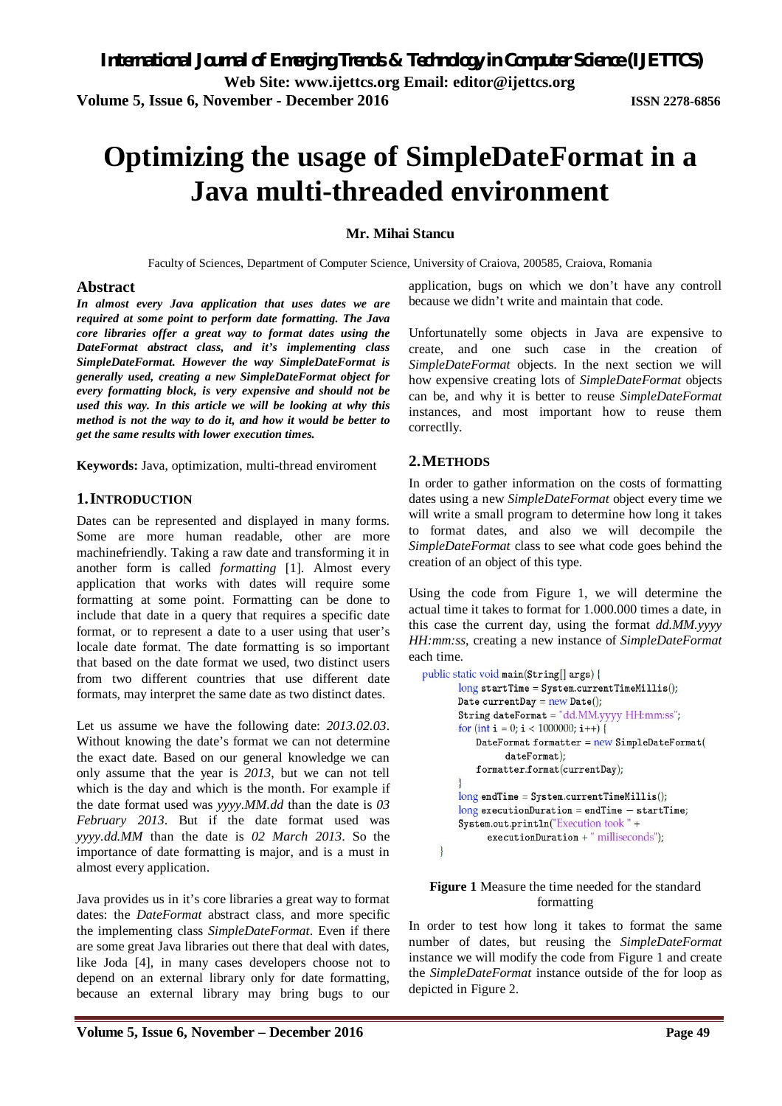# **Optimizing the usage of SimpleDateFormat in a Java multi-threaded environment**

# **Mr. Mihai Stancu**

Faculty of Sciences, Department of Computer Science, University of Craiova, 200585, Craiova, Romania

## **Abstract**

*In almost every Java application that uses dates we are required at some point to perform date formatting. The Java core libraries offer a great way to format dates using the DateFormat abstract class, and it's implementing class SimpleDateFormat. However the way SimpleDateFormat is generally used, creating a new SimpleDateFormat object for every formatting block, is very expensive and should not be used this way. In this article we will be looking at why this method is not the way to do it, and how it would be better to get the same results with lower execution times.*

**Keywords:** Java, optimization, multi-thread enviroment

# **1.INTRODUCTION**

Dates can be represented and displayed in many forms. Some are more human readable, other are more machinefriendly. Taking a raw date and transforming it in another form is called *formatting* [1]. Almost every application that works with dates will require some formatting at some point. Formatting can be done to include that date in a query that requires a specific date format, or to represent a date to a user using that user's locale date format. The date formatting is so important that based on the date format we used, two distinct users from two different countries that use different date formats, may interpret the same date as two distinct dates.

Let us assume we have the following date: *2013.02.03*. Without knowing the date's format we can not determine the exact date. Based on our general knowledge we can only assume that the year is *2013*, but we can not tell which is the day and which is the month. For example if the date format used was *yyyy.MM.dd* than the date is *03 February 2013*. But if the date format used was *yyyy.dd.MM* than the date is *02 March 2013*. So the importance of date formatting is major, and is a must in almost every application.

Java provides us in it's core libraries a great way to format dates: the *DateFormat* abstract class, and more specific the implementing class *SimpleDateFormat*. Even if there are some great Java libraries out there that deal with dates, like Joda [4], in many cases developers choose not to depend on an external library only for date formatting, because an external library may bring bugs to our

application, bugs on which we don't have any controll because we didn't write and maintain that code.

Unfortunatelly some objects in Java are expensive to create, and one such case in the creation of *SimpleDateFormat* objects. In the next section we will how expensive creating lots of *SimpleDateFormat* objects can be, and why it is better to reuse *SimpleDateFormat* instances, and most important how to reuse them correctlly.

# **2.METHODS**

In order to gather information on the costs of formatting dates using a new *SimpleDateFormat* object every time we will write a small program to determine how long it takes to format dates, and also we will decompile the *SimpleDateFormat* class to see what code goes behind the creation of an object of this type.

Using the code from Figure 1, we will determine the actual time it takes to format for 1.000.000 times a date, in this case the current day, using the format *dd.MM.yyyy HH:mm:ss*, creating a new instance of *SimpleDateFormat* each time.

```
public static void main(String[] args) {
       long startTime = System.currentTimeMillis();
       Date currentDay = new Date():
       String dateFormat = "dd.MM.yyyy HH:mm:ss";
       for (int i = 0; i < 1000000; i++) {
          DateFormat formatter = new SimpleDateFormat(dateFormat);
          formatter.format(currentDay);
       long endTime = System.currentTimeMillis();
       long executionDuration = endTime - startTime;
       System.out.println("Execution took" +
             executionDuration + " milliseconds");
   \mathbf{R}
```
## **Figure 1** Measure the time needed for the standard formatting

In order to test how long it takes to format the same number of dates, but reusing the *SimpleDateFormat* instance we will modify the code from Figure 1 and create the *SimpleDateFormat* instance outside of the for loop as depicted in Figure 2.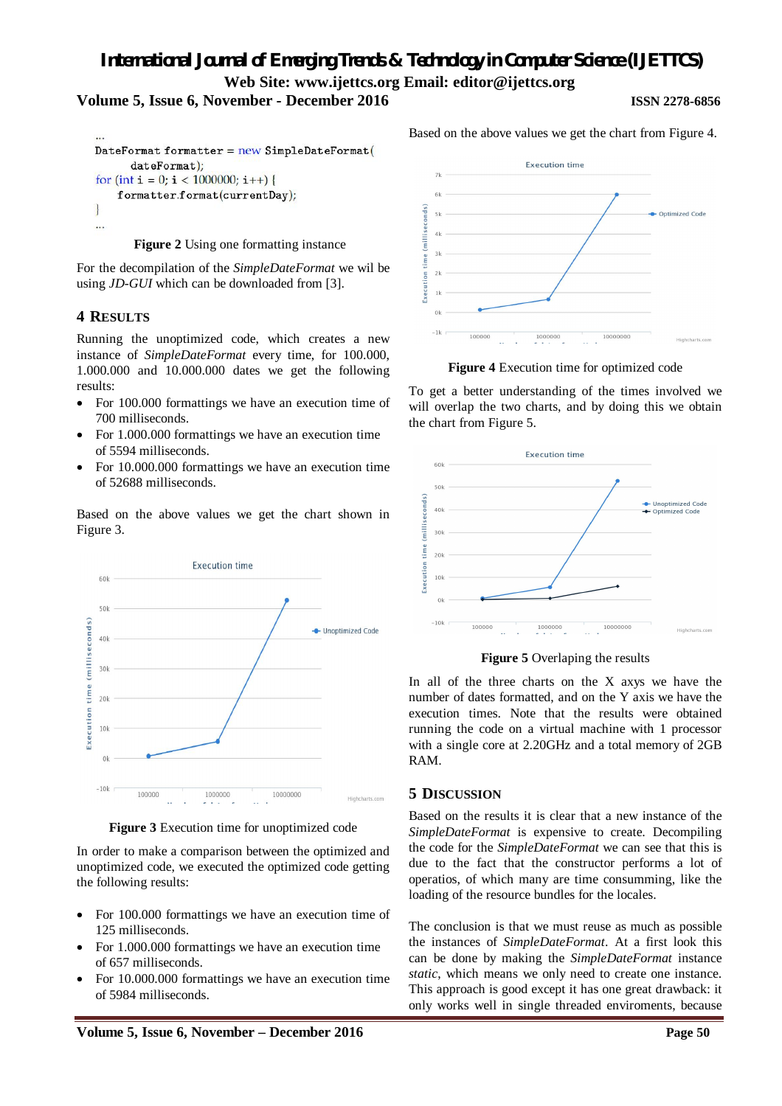# **Volume 5, Issue 6, November - December 2016 ISSN 2278-6856**

```
DateFormat formatter = new SimpleDateFormat(
      dateFormat);
for (int i = 0; i < 1000000; i++) {
    formatter.format(currentDay);
\mathbf{R}\cdots
```
**Figure 2** Using one formatting instance

For the decompilation of the *SimpleDateFormat* we wil be using *JD-GUI* which can be downloaded from [3].

# **4 RESULTS**

Running the unoptimized code, which creates a new instance of *SimpleDateFormat* every time, for 100.000, 1.000.000 and 10.000.000 dates we get the following results:

- For 100.000 formattings we have an execution time of 700 milliseconds.
- For 1.000.000 formattings we have an execution time of 5594 milliseconds.
- For 10.000.000 formattings we have an execution time of 52688 milliseconds.

Based on the above values we get the chart shown in Figure 3.



**Figure 3** Execution time for unoptimized code

In order to make a comparison between the optimized and unoptimized code, we executed the optimized code getting the following results:

- For 100,000 formattings we have an execution time of 125 milliseconds.
- For 1.000.000 formattings we have an execution time of 657 milliseconds.
- For 10.000.000 formattings we have an execution time of 5984 milliseconds.



Based on the above values we get the chart from Figure 4.

**Figure 4** Execution time for optimized code

To get a better understanding of the times involved we will overlap the two charts, and by doing this we obtain the chart from Figure 5.



**Figure 5** Overlaping the results

In all of the three charts on the X axys we have the number of dates formatted, and on the Y axis we have the execution times. Note that the results were obtained running the code on a virtual machine with 1 processor with a single core at 2.20GHz and a total memory of 2GB RAM.

# **5 DISCUSSION**

Based on the results it is clear that a new instance of the *SimpleDateFormat* is expensive to create. Decompiling the code for the *SimpleDateFormat* we can see that this is due to the fact that the constructor performs a lot of operatios, of which many are time consumming, like the loading of the resource bundles for the locales.

The conclusion is that we must reuse as much as possible the instances of *SimpleDateFormat*. At a first look this can be done by making the *SimpleDateFormat* instance *static*, which means we only need to create one instance. This approach is good except it has one great drawback: it only works well in single threaded enviroments, because